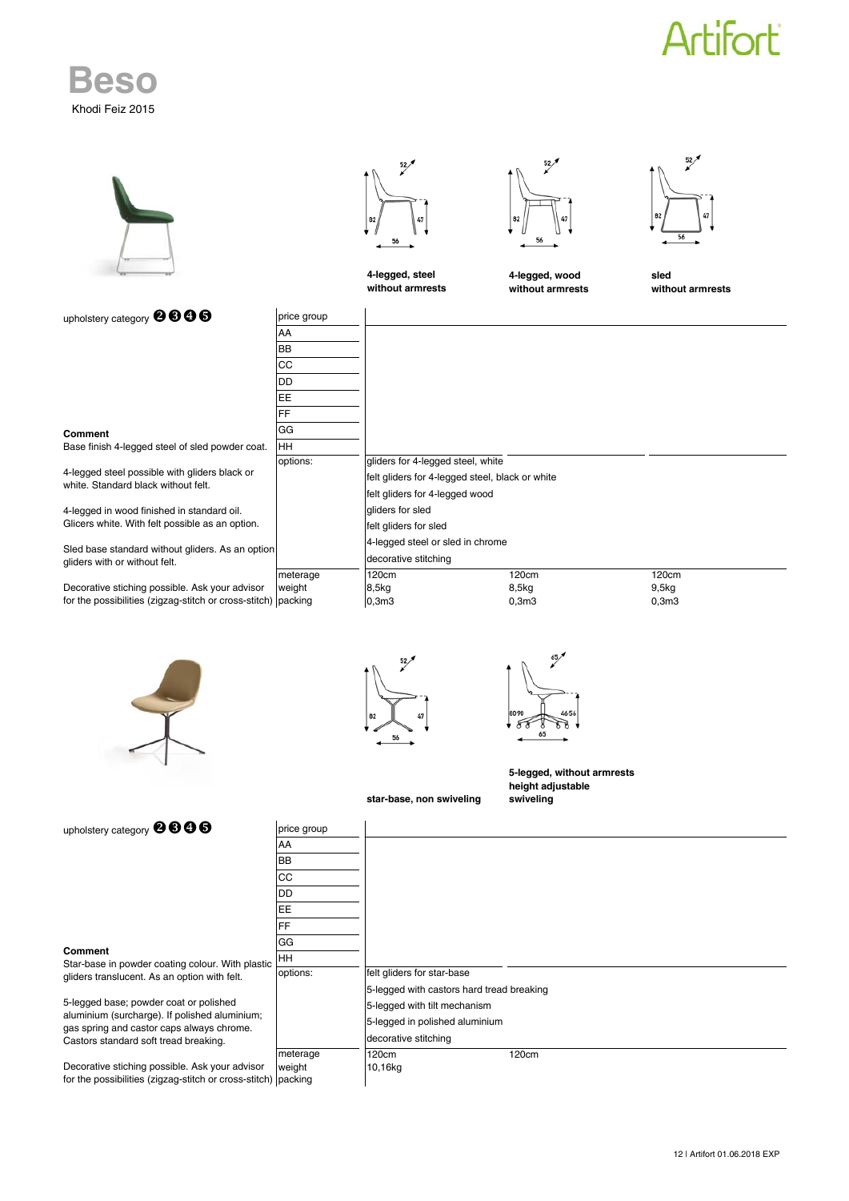## **Artifort**

|                                                                                                                                                                                    |                                                               | 52/<br>56<br>4-legged, steel<br>without armrests                                                                       | 52/<br>82<br>56<br>4-legged, wood<br>without armrests        | 52)<br>56<br>sled<br>without armrests |
|------------------------------------------------------------------------------------------------------------------------------------------------------------------------------------|---------------------------------------------------------------|------------------------------------------------------------------------------------------------------------------------|--------------------------------------------------------------|---------------------------------------|
| upholstery category @ 606                                                                                                                                                          | price group<br>AA<br><b>BB</b><br>CC<br><b>DD</b><br>EE<br>FF |                                                                                                                        |                                                              |                                       |
| Comment<br>Base finish 4-legged steel of sled powder coat.<br>4-legged steel possible with gliders black or<br>white. Standard black without felt.                                 | GG<br>HH<br>options:                                          | gliders for 4-legged steel, white<br>felt gliders for 4-legged steel, black or white<br>felt gliders for 4-legged wood |                                                              |                                       |
| 4-legged in wood finished in standard oil.<br>Glicers white. With felt possible as an option.<br>Sled base standard without gliders. As an option<br>gliders with or without felt. |                                                               | gliders for sled<br>felt gliders for sled<br>4-legged steel or sled in chrome<br>decorative stitching                  |                                                              |                                       |
| Decorative stiching possible. Ask your advisor<br>for the possibilities (zigzag-stitch or cross-stitch) packing                                                                    | meterage<br>weight                                            | 120cm<br>8,5kg<br>0,3m3                                                                                                | 120cm<br>8,5kg<br>0,3m3                                      | 120cm<br>9,5kg<br>0,3m3               |
| M                                                                                                                                                                                  |                                                               | 56                                                                                                                     | 65                                                           |                                       |
| upholstery category @ 600                                                                                                                                                          | price group                                                   | star-base, non swiveling                                                                                               | 5-legged, without armrests<br>height adjustable<br>swiveling |                                       |
|                                                                                                                                                                                    | AA<br>BB<br>CC<br>DD<br>EE<br>FF                              |                                                                                                                        |                                                              |                                       |
| <b>Comment</b><br>Star-base in powder coating colour. With plastic<br>gliders translucent. As an option with felt.                                                                 | GG<br>HH<br>options:                                          | felt gliders for star-base<br>5-legged with castors hard tread breaking                                                |                                                              |                                       |
| 5-legged base; powder coat or polished<br>aluminium (surcharge). If polished aluminium;<br>gas spring and castor caps always chrome.<br>Castors standard soft tread breaking.      | meterage                                                      | 5-legged with tilt mechanism<br>5-legged in polished aluminium<br>decorative stitching<br>120cm                        | 120cm                                                        |                                       |

 $10,16kg$ 

meterage 120cm 120cm 120cm packing Decorative stiching possible. Ask your advisor for the possibilities (zigzag-stitch or cross-stitch)

**Beso**

Khodi Feiz 2015